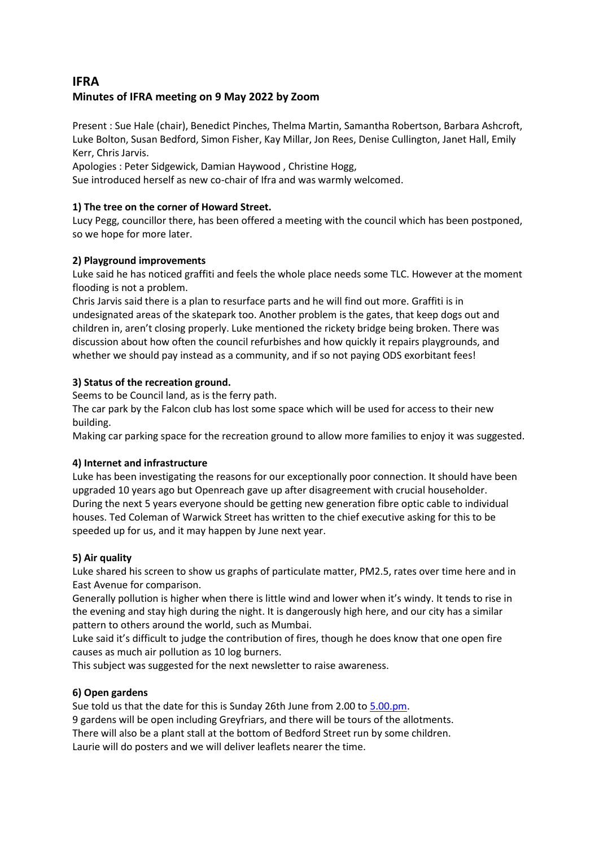# **IFRA Minutes of IFRA meeting on 9 May 2022 by Zoom**

Present : Sue Hale (chair), Benedict Pinches, Thelma Martin, Samantha Robertson, Barbara Ashcroft, Luke Bolton, Susan Bedford, Simon Fisher, Kay Millar, Jon Rees, Denise Cullington, Janet Hall, Emily Kerr, Chris Jarvis.

Apologies : Peter Sidgewick, Damian Haywood , Christine Hogg,

Sue introduced herself as new co-chair of Ifra and was warmly welcomed.

## **1) The tree on the corner of Howard Street.**

Lucy Pegg, councillor there, has been offered a meeting with the council which has been postponed, so we hope for more later.

## **2) Playground improvements**

Luke said he has noticed graffiti and feels the whole place needs some TLC. However at the moment flooding is not a problem.

Chris Jarvis said there is a plan to resurface parts and he will find out more. Graffiti is in undesignated areas of the skatepark too. Another problem is the gates, that keep dogs out and children in, aren't closing properly. Luke mentioned the rickety bridge being broken. There was discussion about how often the council refurbishes and how quickly it repairs playgrounds, and whether we should pay instead as a community, and if so not paying ODS exorbitant fees!

## **3) Status of the recreation ground.**

Seems to be Council land, as is the ferry path.

The car park by the Falcon club has lost some space which will be used for access to their new building.

Making car parking space for the recreation ground to allow more families to enjoy it was suggested.

## **4) Internet and infrastructure**

Luke has been investigating the reasons for our exceptionally poor connection. It should have been upgraded 10 years ago but Openreach gave up after disagreement with crucial householder. During the next 5 years everyone should be getting new generation fibre optic cable to individual houses. Ted Coleman of Warwick Street has written to the chief executive asking for this to be speeded up for us, and it may happen by June next year.

## **5) Air quality**

Luke shared his screen to show us graphs of particulate matter, PM2.5, rates over time here and in East Avenue for comparison.

Generally pollution is higher when there is little wind and lower when it's windy. It tends to rise in the evening and stay high during the night. It is dangerously high here, and our city has a similar pattern to others around the world, such as Mumbai.

Luke said it's difficult to judge the contribution of fires, though he does know that one open fire causes as much air pollution as 10 log burners.

This subject was suggested for the next newsletter to raise awareness.

## **6) Open gardens**

Sue told us that the date for this is Sunday 26th June from 2.00 t[o 5.00.pm.](http://5.00.pm/)

9 gardens will be open including Greyfriars, and there will be tours of the allotments.

There will also be a plant stall at the bottom of Bedford Street run by some children.

Laurie will do posters and we will deliver leaflets nearer the time.